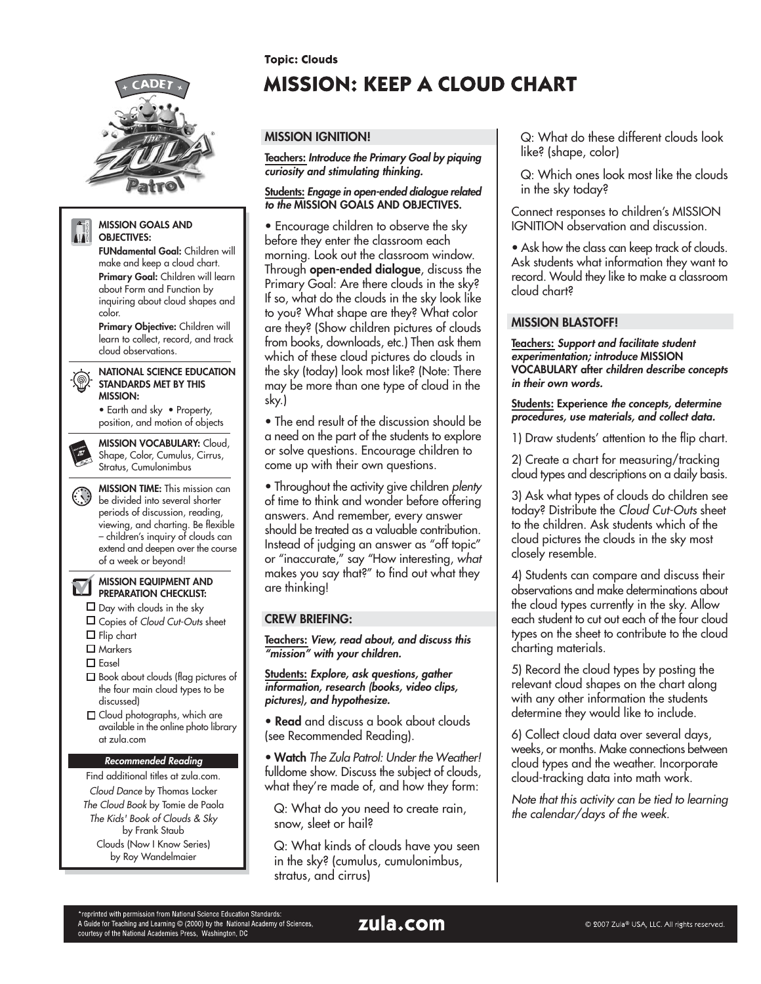

A Guide for Teaching and Learning C (2000) by the National Academy of Sciences,

courtesy of the National Academies Press, Washington, DC

**Topic: Clouds** 

# **MISSION: KEEP A CLOUD CHART**

## **MISSION IGNITION!**

**Teachers: Introduce the Primary Goal by piquing curiosity and stimulating thinking.**

#### **Students: Engage in open-ended dialogue related to the MISSION GOALS AND OBJECTIVES.**

• Encourage children to observe the sky before they enter the classroom each morning. Look out the classroom window. Through **open-ended dialogue**, discuss the Primary Goal: Are there clouds in the sky? If so, what do the clouds in the sky look like to you? What shape are they? What color are they? (Show children pictures of clouds from books, downloads, etc.) Then ask them which of these cloud pictures do clouds in the sky (today) look most like? (Note: There may be more than one type of cloud in the sky.)

• The end result of the discussion should be a need on the part of the students to explore or solve questions. Encourage children to come up with their own questions.

• Throughout the activity give children plenty of time to think and wonder before offering answers. And remember, every answer should be treated as a valuable contribution. Instead of judging an answer as "off topic" or "inaccurate," say "How interesting, what makes you say that?" to find out what they are thinking!

## **CREW BRIEFING:**

**Teachers: View, read about, and discuss this "mission" with your children.**

**Students: Explore, ask questions, gather information, research (books, video clips, pictures), and hypothesize.**

**• Read** and discuss a book about clouds (see Recommended Reading).

• **Watch** The Zula Patrol: Under the Weather! fulldome show. Discuss the subject of clouds, what they're made of, and how they form:

Q: What do you need to create rain, snow, sleet or hail?

Q: What kinds of clouds have you seen in the sky? (cumulus, cumulonimbus, stratus, and cirrus)

Q: What do these different clouds look like? (shape, color)

Q: Which ones look most like the clouds in the sky today?

Connect responses to children's MISSION IGNITION observation and discussion.

• Ask how the class can keep track of clouds. Ask students what information they want to record. Would they like to make a classroom cloud chart?

#### **MISSION BLASTOFF!**

**Teachers: Support and facilitate student experimentation; introduce MISSION VOCABULARY after children describe concepts in their own words.**

**Students: Experience the concepts, determine procedures, use materials, and collect data.**

1) Draw students' attention to the flip chart.

2) Create a chart for measuring/tracking cloud types and descriptions on a daily basis.

3) Ask what types of clouds do children see today? Distribute the Cloud Cut-Outs sheet to the children. Ask students which of the cloud pictures the clouds in the sky most closely resemble.

4) Students can compare and discuss their observations and make determinations about the cloud types currently in the sky. Allow each student to cut out each of the four cloud types on the sheet to contribute to the cloud charting materials.

5) Record the cloud types by posting the relevant cloud shapes on the chart along with any other information the students determine they would like to include.

6) Collect cloud data over several days, weeks, or months. Make connections between cloud types and the weather. Incorporate cloud-tracking data into math work.

Note that this activity can be tied to learning the calendar/days of the week.